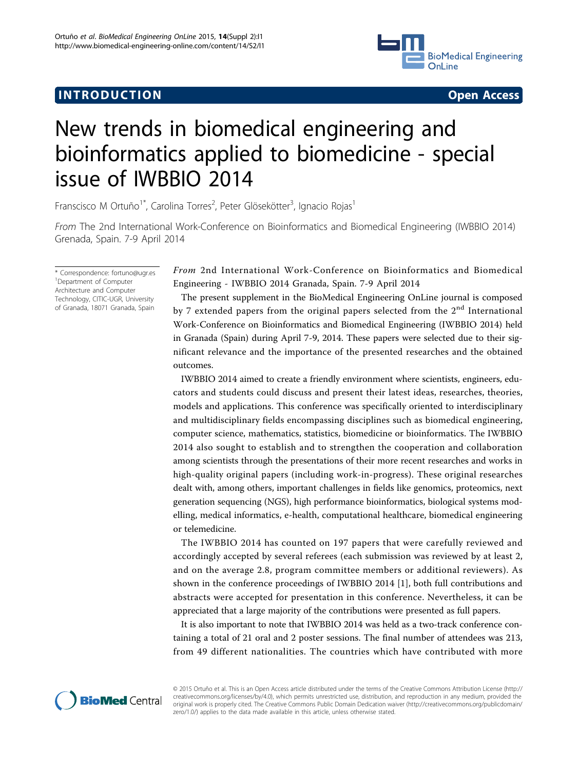## **INTRODUCTION CONSUMING THE CONSUMING TEACHER CONSUMING THE CONSUMING TEACHER CONSUMING THE CONSUMING TEACHER CONSUMING THE CONSUMING TEACHER CONSUMING THE CONSUMING THE CONSUMING THE CONSUMING THE CONSUMING THE CONSUMIN**



# New trends in biomedical engineering and bioinformatics applied to biomedicine - special issue of IWBBIO 2014

Franscisco M Ortuño<sup>1\*</sup>, Carolina Torres<sup>2</sup>, Peter Glösekötter<sup>3</sup>, Ignacio Rojas<sup>1</sup>

From The 2nd International Work-Conference on Bioinformatics and Biomedical Engineering (IWBBIO 2014) Grenada, Spain. 7-9 April 2014

\* Correspondence: [fortuno@ugr.es](mailto:fortuno@ugr.es) <sup>1</sup>Department of Computer Architecture and Computer Technology, CITIC-UGR, University of Granada, 18071 Granada, Spain

From 2nd International Work-Conference on Bioinformatics and Biomedical Engineering - IWBBIO 2014 Granada, Spain. 7-9 April 2014

The present supplement in the BioMedical Engineering OnLine journal is composed by 7 extended papers from the original papers selected from the  $2<sup>nd</sup>$  International Work-Conference on Bioinformatics and Biomedical Engineering (IWBBIO 2014) held in Granada (Spain) during April 7-9, 2014. These papers were selected due to their significant relevance and the importance of the presented researches and the obtained outcomes.

IWBBIO 2014 aimed to create a friendly environment where scientists, engineers, educators and students could discuss and present their latest ideas, researches, theories, models and applications. This conference was specifically oriented to interdisciplinary and multidisciplinary fields encompassing disciplines such as biomedical engineering, computer science, mathematics, statistics, biomedicine or bioinformatics. The IWBBIO 2014 also sought to establish and to strengthen the cooperation and collaboration among scientists through the presentations of their more recent researches and works in high-quality original papers (including work-in-progress). These original researches dealt with, among others, important challenges in fields like genomics, proteomics, next generation sequencing (NGS), high performance bioinformatics, biological systems modelling, medical informatics, e-health, computational healthcare, biomedical engineering or telemedicine.

The IWBBIO 2014 has counted on 197 papers that were carefully reviewed and accordingly accepted by several referees (each submission was reviewed by at least 2, and on the average 2.8, program committee members or additional reviewers). As shown in the conference proceedings of IWBBIO 2014 [[1\]](#page-2-0), both full contributions and abstracts were accepted for presentation in this conference. Nevertheless, it can be appreciated that a large majority of the contributions were presented as full papers.

It is also important to note that IWBBIO 2014 was held as a two-track conference containing a total of 21 oral and 2 poster sessions. The final number of attendees was 213, from 49 different nationalities. The countries which have contributed with more



© 2015 Ortuño et al. This is an Open Access article distributed under the terms of the Creative Commons Attribution License [\(http://](http://creativecommons.org/licenses/by/4.0) [creativecommons.org/licenses/by/4.0](http://creativecommons.org/licenses/by/4.0)), which permits unrestricted use, distribution, and reproduction in any medium, provided the original work is properly cited. The Creative Commons Public Domain Dedication waiver ([http://creativecommons.org/publicdomain/](http://creativecommons.org/publicdomain/zero/1.0/) [zero/1.0/](http://creativecommons.org/publicdomain/zero/1.0/)) applies to the data made available in this article, unless otherwise stated.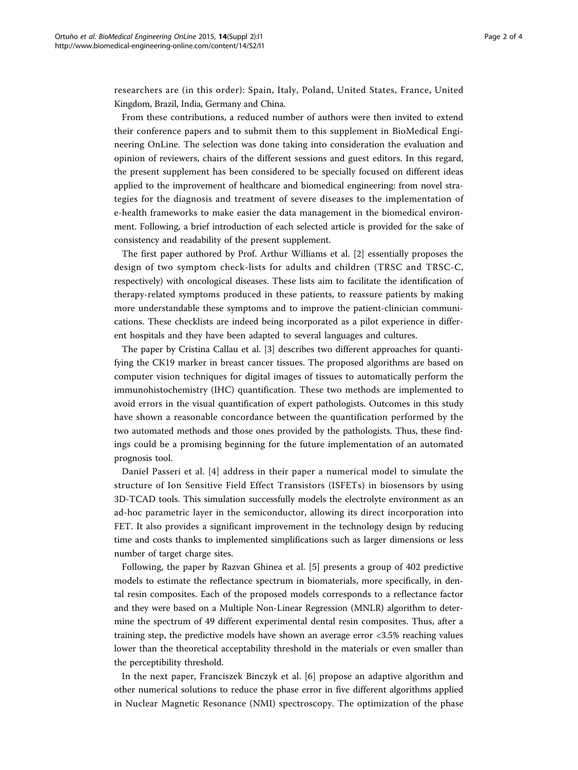researchers are (in this order): Spain, Italy, Poland, United States, France, United Kingdom, Brazil, India, Germany and China.

From these contributions, a reduced number of authors were then invited to extend their conference papers and to submit them to this supplement in BioMedical Engineering OnLine. The selection was done taking into consideration the evaluation and opinion of reviewers, chairs of the different sessions and guest editors. In this regard, the present supplement has been considered to be specially focused on different ideas applied to the improvement of healthcare and biomedical engineering: from novel strategies for the diagnosis and treatment of severe diseases to the implementation of e-health frameworks to make easier the data management in the biomedical environment. Following, a brief introduction of each selected article is provided for the sake of consistency and readability of the present supplement.

The first paper authored by Prof. Arthur Williams et al. [[2\]](#page-2-0) essentially proposes the design of two symptom check-lists for adults and children (TRSC and TRSC-C, respectively) with oncological diseases. These lists aim to facilitate the identification of therapy-related symptoms produced in these patients, to reassure patients by making more understandable these symptoms and to improve the patient-clinician communications. These checklists are indeed being incorporated as a pilot experience in different hospitals and they have been adapted to several languages and cultures.

The paper by Cristina Callau et al. [\[3](#page-3-0)] describes two different approaches for quantifying the CK19 marker in breast cancer tissues. The proposed algorithms are based on computer vision techniques for digital images of tissues to automatically perform the immunohistochemistry (IHC) quantification. These two methods are implemented to avoid errors in the visual quantification of expert pathologists. Outcomes in this study have shown a reasonable concordance between the quantification performed by the two automated methods and those ones provided by the pathologists. Thus, these findings could be a promising beginning for the future implementation of an automated prognosis tool.

Daniel Passeri et al. [[4](#page-3-0)] address in their paper a numerical model to simulate the structure of Ion Sensitive Field Effect Transistors (ISFETs) in biosensors by using 3D-TCAD tools. This simulation successfully models the electrolyte environment as an ad-hoc parametric layer in the semiconductor, allowing its direct incorporation into FET. It also provides a significant improvement in the technology design by reducing time and costs thanks to implemented simplifications such as larger dimensions or less number of target charge sites.

Following, the paper by Razvan Ghinea et al. [[5\]](#page-3-0) presents a group of 402 predictive models to estimate the reflectance spectrum in biomaterials, more specifically, in dental resin composites. Each of the proposed models corresponds to a reflectance factor and they were based on a Multiple Non-Linear Regression (MNLR) algorithm to determine the spectrum of 49 different experimental dental resin composites. Thus, after a training step, the predictive models have shown an average error <3.5% reaching values lower than the theoretical acceptability threshold in the materials or even smaller than the perceptibility threshold.

In the next paper, Franciszek Binczyk et al. [\[6](#page-3-0)] propose an adaptive algorithm and other numerical solutions to reduce the phase error in five different algorithms applied in Nuclear Magnetic Resonance (NMI) spectroscopy. The optimization of the phase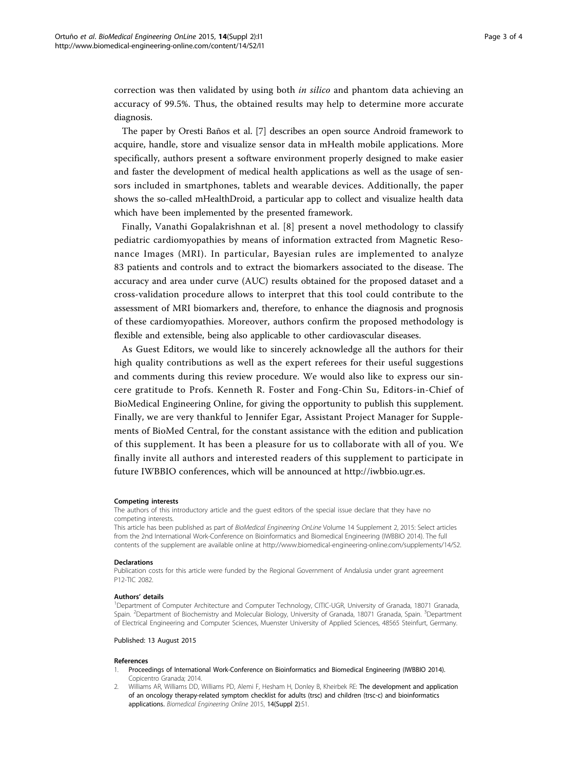<span id="page-2-0"></span>correction was then validated by using both in silico and phantom data achieving an accuracy of 99.5%. Thus, the obtained results may help to determine more accurate diagnosis.

The paper by Oresti Baños et al. [[7\]](#page-3-0) describes an open source Android framework to acquire, handle, store and visualize sensor data in mHealth mobile applications. More specifically, authors present a software environment properly designed to make easier and faster the development of medical health applications as well as the usage of sensors included in smartphones, tablets and wearable devices. Additionally, the paper shows the so-called mHealthDroid, a particular app to collect and visualize health data which have been implemented by the presented framework.

Finally, Vanathi Gopalakrishnan et al. [[8](#page-3-0)] present a novel methodology to classify pediatric cardiomyopathies by means of information extracted from Magnetic Resonance Images (MRI). In particular, Bayesian rules are implemented to analyze 83 patients and controls and to extract the biomarkers associated to the disease. The accuracy and area under curve (AUC) results obtained for the proposed dataset and a cross-validation procedure allows to interpret that this tool could contribute to the assessment of MRI biomarkers and, therefore, to enhance the diagnosis and prognosis of these cardiomyopathies. Moreover, authors confirm the proposed methodology is flexible and extensible, being also applicable to other cardiovascular diseases.

As Guest Editors, we would like to sincerely acknowledge all the authors for their high quality contributions as well as the expert referees for their useful suggestions and comments during this review procedure. We would also like to express our sincere gratitude to Profs. Kenneth R. Foster and Fong-Chin Su, Editors-in-Chief of BioMedical Engineering Online, for giving the opportunity to publish this supplement. Finally, we are very thankful to Jennifer Egar, Assistant Project Manager for Supplements of BioMed Central, for the constant assistance with the edition and publication of this supplement. It has been a pleasure for us to collaborate with all of you. We finally invite all authors and interested readers of this supplement to participate in future IWBBIO conferences, which will be announced at [http://iwbbio.ugr.es](http://www.biomedical-engineering-online.com/supplements/14/S2).

#### Competing interests

The authors of this introductory article and the guest editors of the special issue declare that they have no competing interests.

This article has been published as part of BioMedical Engineering OnLine Volume 14 Supplement 2, 2015: Select articles from the 2nd International Work-Conference on Bioinformatics and Biomedical Engineering (IWBBIO 2014). The full contents of the supplement are available online at [http://www.biomedical-engineering-online.com/supplements/14/S2](http://www.ugr.es/~oresti/datasets.htm).

#### Declarations

Publication costs for this article were funded by the Regional Government of Andalusia under grant agreement P12-TIC 2082.

#### Authors' details <sup>1</sup>

<sup>1</sup>Department of Computer Architecture and Computer Technology, CITIC-UGR, University of Granada, 18071 Granada, Spain. <sup>2</sup>Department of Biochemistry and Molecular Biology, University of Granada, 18071 Granada, Spain. <sup>3</sup>Department of Electrical Engineering and Computer Sciences, Muenster University of Applied Sciences, 48565 Steinfurt, Germany.

#### Published: 13 August 2015

#### References

- 1. Proceedings of International Work-Conference on Bioinformatics and Biomedical Engineering (IWBBIO 2014). Copicentro Granada; 2014.
- Williams AR, Williams DD, Williams PD, Alemi F, Hesham H, Donley B, Kheirbek RE: The development and application of an oncology therapy-related symptom checklist for adults (trsc) and children (trsc-c) and bioinformatics applications. Biomedical Engineering Online 2015, 14(Suppl 2):S1.